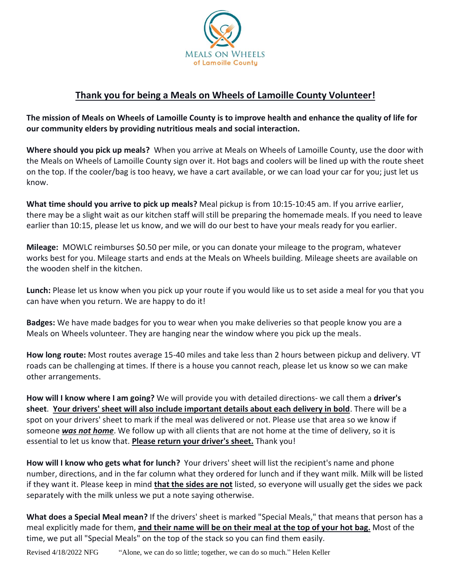

## **Thank you for being a Meals on Wheels of Lamoille County Volunteer!**

**The mission of Meals on Wheels of Lamoille County is to improve health and enhance the quality of life for our community elders by providing nutritious meals and social interaction.**

**Where should you pick up meals?** When you arrive at Meals on Wheels of Lamoille County, use the door with the Meals on Wheels of Lamoille County sign over it. Hot bags and coolers will be lined up with the route sheet on the top. If the cooler/bag is too heavy, we have a cart available, or we can load your car for you; just let us know.

**What time should you arrive to pick up meals?** Meal pickup is from 10:15-10:45 am. If you arrive earlier, there may be a slight wait as our kitchen staff will still be preparing the homemade meals. If you need to leave earlier than 10:15, please let us know, and we will do our best to have your meals ready for you earlier.

**Mileage:** MOWLC reimburses \$0.50 per mile, or you can donate your mileage to the program, whatever works best for you. Mileage starts and ends at the Meals on Wheels building. Mileage sheets are available on the wooden shelf in the kitchen.

**Lunch:** Please let us know when you pick up your route if you would like us to set aside a meal for you that you can have when you return. We are happy to do it!

**Badges:** We have made badges for you to wear when you make deliveries so that people know you are a Meals on Wheels volunteer. They are hanging near the window where you pick up the meals.

**How long route:** Most routes average 15-40 miles and take less than 2 hours between pickup and delivery. VT roads can be challenging at times. If there is a house you cannot reach, please let us know so we can make other arrangements.

**How will I know where I am going?** We will provide you with detailed directions- we call them a **driver's sheet**. **Your drivers' sheet will also include important details about each delivery in bold**. There will be a spot on your drivers' sheet to mark if the meal was delivered or not. Please use that area so we know if someone *was not home*. We follow up with all clients that are not home at the time of delivery, so it is essential to let us know that. **Please return your driver's sheet.** Thank you!

**How will I know who gets what for lunch?** Your drivers' sheet will list the recipient's name and phone number, directions, and in the far column what they ordered for lunch and if they want milk. Milk will be listed if they want it. Please keep in mind **that the sides are not** listed, so everyone will usually get the sides we pack separately with the milk unless we put a note saying otherwise.

**What does a Special Meal mean?** If the drivers' sheet is marked "Special Meals," that means that person has a meal explicitly made for them, **and their name will be on their meal at the top of your hot bag.** Most of the time, we put all "Special Meals" on the top of the stack so you can find them easily.